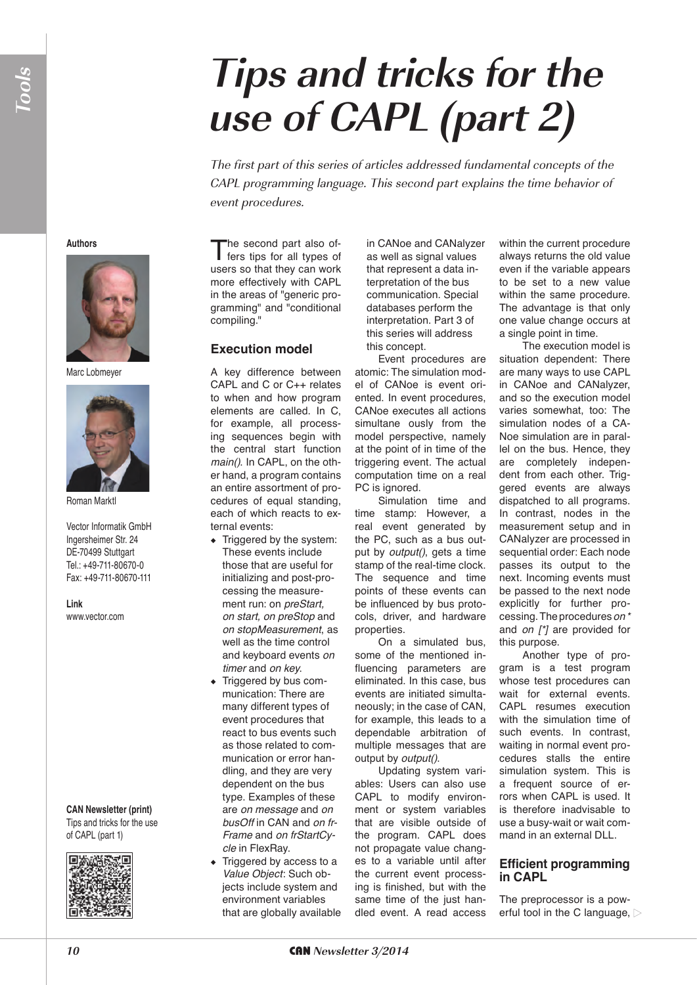## **Tips and tricks for the use of CAPL (part 2)**

The first part of this series of articles addressed fundamental concepts of the CAPL programming language. This second part explains the time behavior of event procedures.

**Authors**



Marc Lobmeyer



Roman Marktl

Vector Informatik GmbH Ingersheimer Str. 24 DE-70499 Stuttgart Tel.: +49-711-80670-0 Fax: +49-711-80670-111

**Link** www.vector.com

**CAN Newsletter (print)** Tips and tricks for the use of CAPL (part 1)



The second part also of-<br>fers tips for all types of users so that they can work more effectively with CAPL in the areas of "generic programming" and "conditional compiling."

## **Execution model**

A key difference between CAPL and C or C++ relates to when and how program elements are called. In C, for example, all processing sequences begin with the central start function *main()*. In CAPL, on the other hand, a program contains an entire assortment of procedures of equal standing, each of which reacts to external events:

- ◆ Triggered by the system: These events include those that are useful for initializing and post-processing the measurement run: on *preStart, on start, on preStop* and *on stopMeasurement*, as well as the time control and keyboard events *on timer* and *on key*.
- ◆ Triggered by bus communication: There are many different types of event procedures that react to bus events such as those related to communication or error handling, and they are very dependent on the bus type. Examples of these are *on message* and *on busOff* in CAN and *on fr-Frame* and *on frStartCycle* in FlexRay.
- ◆ Triggered by access to a *Value Object*: Such objects include system and environment variables that are globally available

in CANoe and CANalyzer as well as signal values that represent a data interpretation of the bus communication. Special databases perform the interpretation. Part 3 of this series will address this concept.

Event procedures are atomic: The simulation model of CANoe is event oriented. In event procedures, CANoe executes all actions simultane ously from the model perspective, namely at the point of in time of the triggering event. The actual computation time on a real PC is ignored.

Simulation time and time stamp: However, a real event generated by the PC, such as a bus output by *output()*, gets a time stamp of the real-time clock. The sequence and time points of these events can be influenced by bus protocols, driver, and hardware properties.

On a simulated bus, some of the mentioned influencing parameters are eliminated. In this case, bus events are initiated simultaneously; in the case of CAN, for example, this leads to a dependable arbitration of multiple messages that are output by *output()*.

Updating system variables: Users can also use CAPL to modify environment or system variables that are visible outside of the program. CAPL does not propagate value changes to a variable until after the current event processing is finished, but with the same time of the just handled event. A read access

within the current procedure always returns the old value even if the variable appears to be set to a new value within the same procedure. The advantage is that only one value change occurs at a single point in time.

The execution model is situation dependent: There are many ways to use CAPL in CANoe and CANalyzer, and so the execution model varies somewhat, too: The simulation nodes of a CA-Noe simulation are in parallel on the bus. Hence, they are completely independent from each other. Triggered events are always dispatched to all programs. In contrast, nodes in the measurement setup and in CANalyzer are processed in sequential order: Each node passes its output to the next. Incoming events must be passed to the next node explicitly for further processing. The procedures *on \** and *on [\*]* are provided for this purpose.

Another type of program is a test program whose test procedures can wait for external events. CAPL resumes execution with the simulation time of such events. In contrast, waiting in normal event procedures stalls the entire simulation system. This is a frequent source of errors when CAPL is used. It is therefore inadvisable to use a busy-wait or wait command in an external DLL.

## **Efficient programming in CAPL**

The preprocessor is a powerful tool in the C language,  $\triangleright$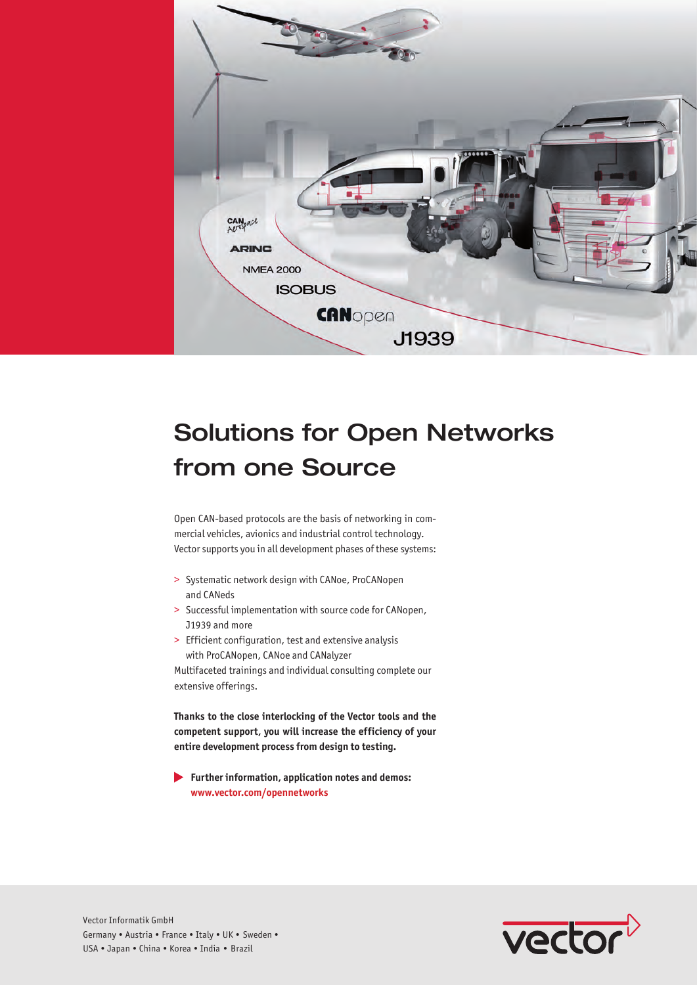

## Solutions for Open Networks from one Source

Open CAN-based protocols are the basis of networking in commercial vehicles, avionics and industrial control technology. Vector supports you in all development phases of these systems:

- > Systematic network design with CANoe, ProCANopen and CANeds
- > Successful implementation with source code for CANopen, J1939 and more
- > Efficient configuration, test and extensive analysis with ProCANopen, CANoe and CANalyzer

Multifaceted trainings and individual consulting complete our extensive offerings.

**Thanks to the close interlocking of the Vector tools and the competent support, you will increase the efficiency of your entire development process from design to testing.**

 **Further information, application notes and demos: www.vector.com/opennetworks**